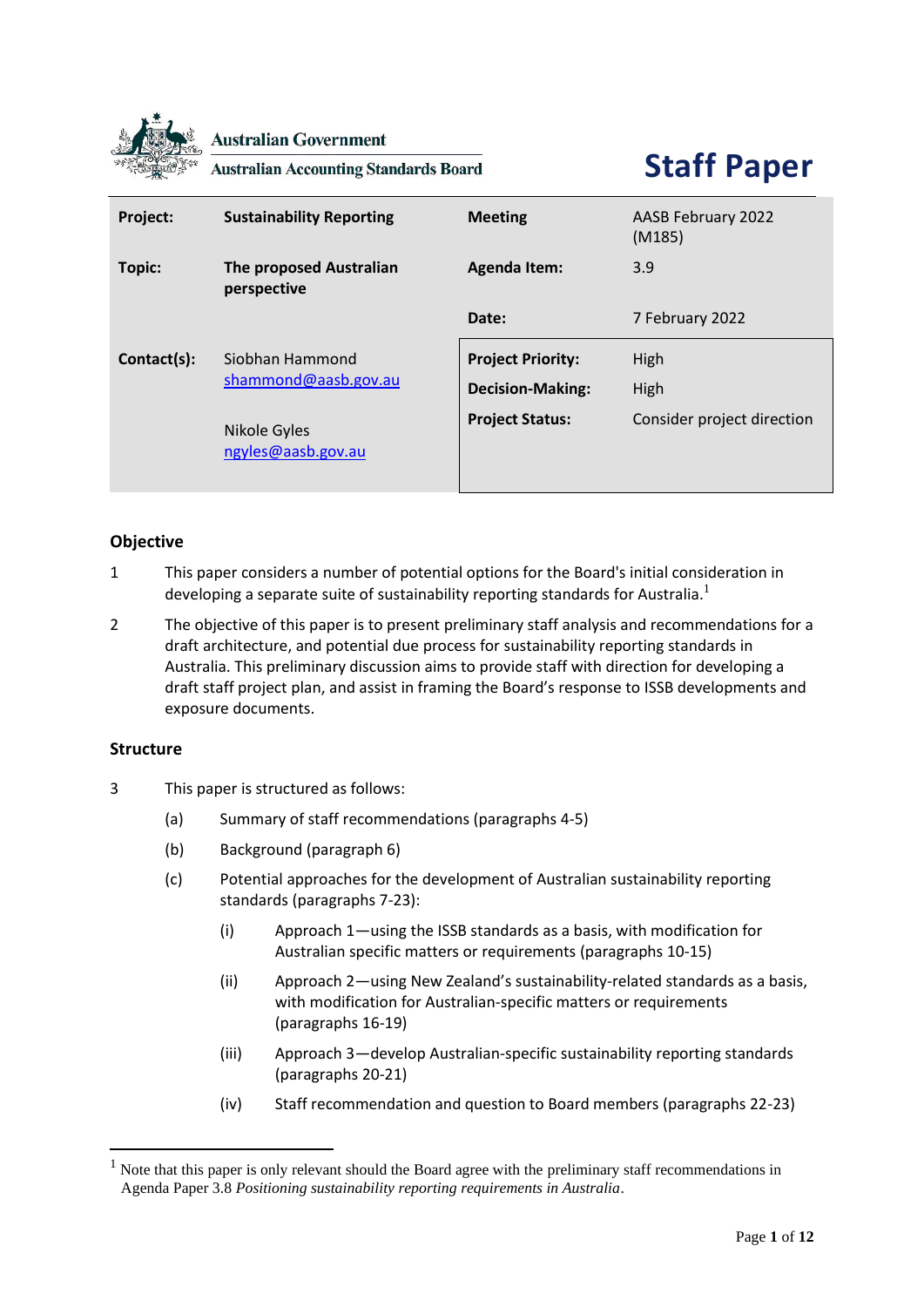

**Australian Government** 

**Australian Accounting Standards Board** 

# **Staff Paper**

| Project:    | <b>Sustainability Reporting</b>                                               | <b>Meeting</b>                                                                | AASB February 2022<br>(M185)               |
|-------------|-------------------------------------------------------------------------------|-------------------------------------------------------------------------------|--------------------------------------------|
| Topic:      | <b>The proposed Australian</b><br>perspective                                 | <b>Agenda Item:</b>                                                           | 3.9                                        |
|             |                                                                               | Date:                                                                         | 7 February 2022                            |
| Contact(s): | Siobhan Hammond<br>shammond@aasb.gov.au<br>Nikole Gyles<br>ngyles@aasb.gov.au | <b>Project Priority:</b><br><b>Decision-Making:</b><br><b>Project Status:</b> | High<br>High<br>Consider project direction |

# **Objective**

- 1 This paper considers a number of potential options for the Board's initial consideration in developing a separate suite of sustainability reporting standards for Australia.<sup>1</sup>
- 2 The objective of this paper is to present preliminary staff analysis and recommendations for a draft architecture, and potential due process for sustainability reporting standards in Australia. This preliminary discussion aims to provide staff with direction for developing a draft staff project plan, and assist in framing the Board's response to ISSB developments and exposure documents.

# **Structure**

- 3 This paper is structured as follows:
	- (a) Summary of staff recommendations (paragraphs 4-5)
	- (b) Background (paragraph 6)
	- (c) Potential approaches for the development of Australian sustainability reporting standards (paragraphs 7-23):
		- (i) Approach 1—using the ISSB standards as a basis, with modification for Australian specific matters or requirements (paragraphs 10-15)
		- (ii) Approach 2—using New Zealand's sustainability-related standards as a basis, with modification for Australian-specific matters or requirements (paragraphs 16-19)
		- (iii) Approach 3—develop Australian-specific sustainability reporting standards (paragraphs 20-21)
		- (iv) Staff recommendation and question to Board members (paragraphs 22-23)

<sup>1</sup> Note that this paper is only relevant should the Board agree with the preliminary staff recommendations in Agenda Paper 3.8 *Positioning sustainability reporting requirements in Australia*.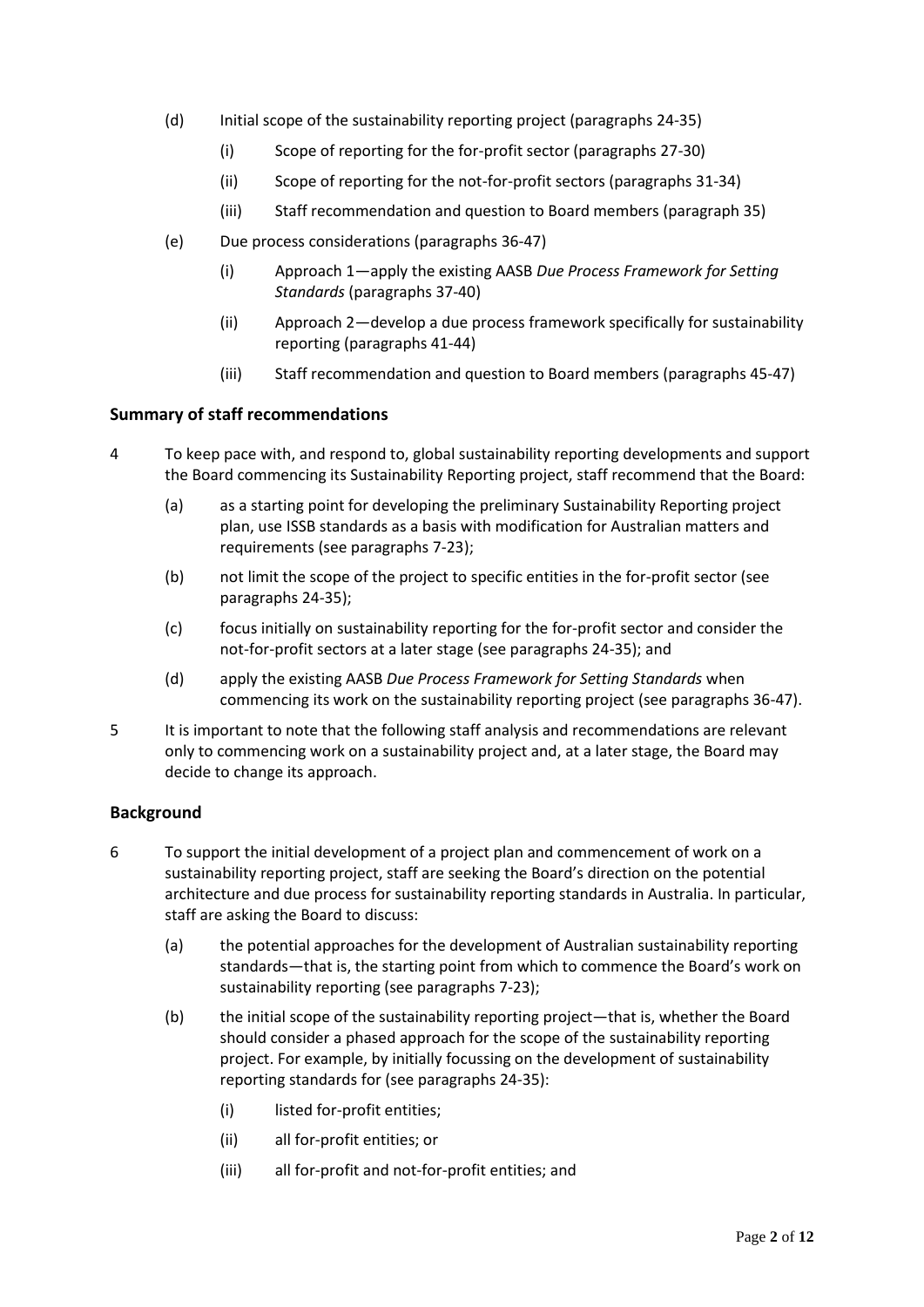- (d) Initial scope of the sustainability reporting project (paragraphs 24-35)
	- (i) Scope of reporting for the for-profit sector (paragraphs 27-30)
	- (ii) Scope of reporting for the not-for-profit sectors (paragraphs 31-34)
	- (iii) Staff recommendation and question to Board members (paragraph 35)
- (e) Due process considerations (paragraphs 36-47)
	- (i) Approach 1—apply the existing AASB *Due Process Framework for Setting Standards* (paragraphs 37-40)
	- (ii) Approach 2—develop a due process framework specifically for sustainability reporting (paragraphs 41-44)
	- (iii) Staff recommendation and question to Board members (paragraphs 45-47)

## **Summary of staff recommendations**

- 4 To keep pace with, and respond to, global sustainability reporting developments and support the Board commencing its Sustainability Reporting project, staff recommend that the Board:
	- (a) as a starting point for developing the preliminary Sustainability Reporting project plan, use ISSB standards as a basis with modification for Australian matters and requirements (see paragraphs 7-23);
	- (b) not limit the scope of the project to specific entities in the for-profit sector (see paragraphs 24-35);
	- (c) focus initially on sustainability reporting for the for-profit sector and consider the not-for-profit sectors at a later stage (see paragraphs 24-35); and
	- (d) apply the existing AASB *Due Process Framework for Setting Standards* when commencing its work on the sustainability reporting project (see paragraphs 36-47).
- 5 It is important to note that the following staff analysis and recommendations are relevant only to commencing work on a sustainability project and, at a later stage, the Board may decide to change its approach.

# **Background**

- 6 To support the initial development of a project plan and commencement of work on a sustainability reporting project, staff are seeking the Board's direction on the potential architecture and due process for sustainability reporting standards in Australia. In particular, staff are asking the Board to discuss:
	- (a) the potential approaches for the development of Australian sustainability reporting standards—that is, the starting point from which to commence the Board's work on sustainability reporting (see paragraphs 7-23);
	- (b) the initial scope of the sustainability reporting project—that is, whether the Board should consider a phased approach for the scope of the sustainability reporting project. For example, by initially focussing on the development of sustainability reporting standards for (see paragraphs 24-35):
		- (i) listed for-profit entities;
		- (ii) all for-profit entities; or
		- (iii) all for-profit and not-for-profit entities; and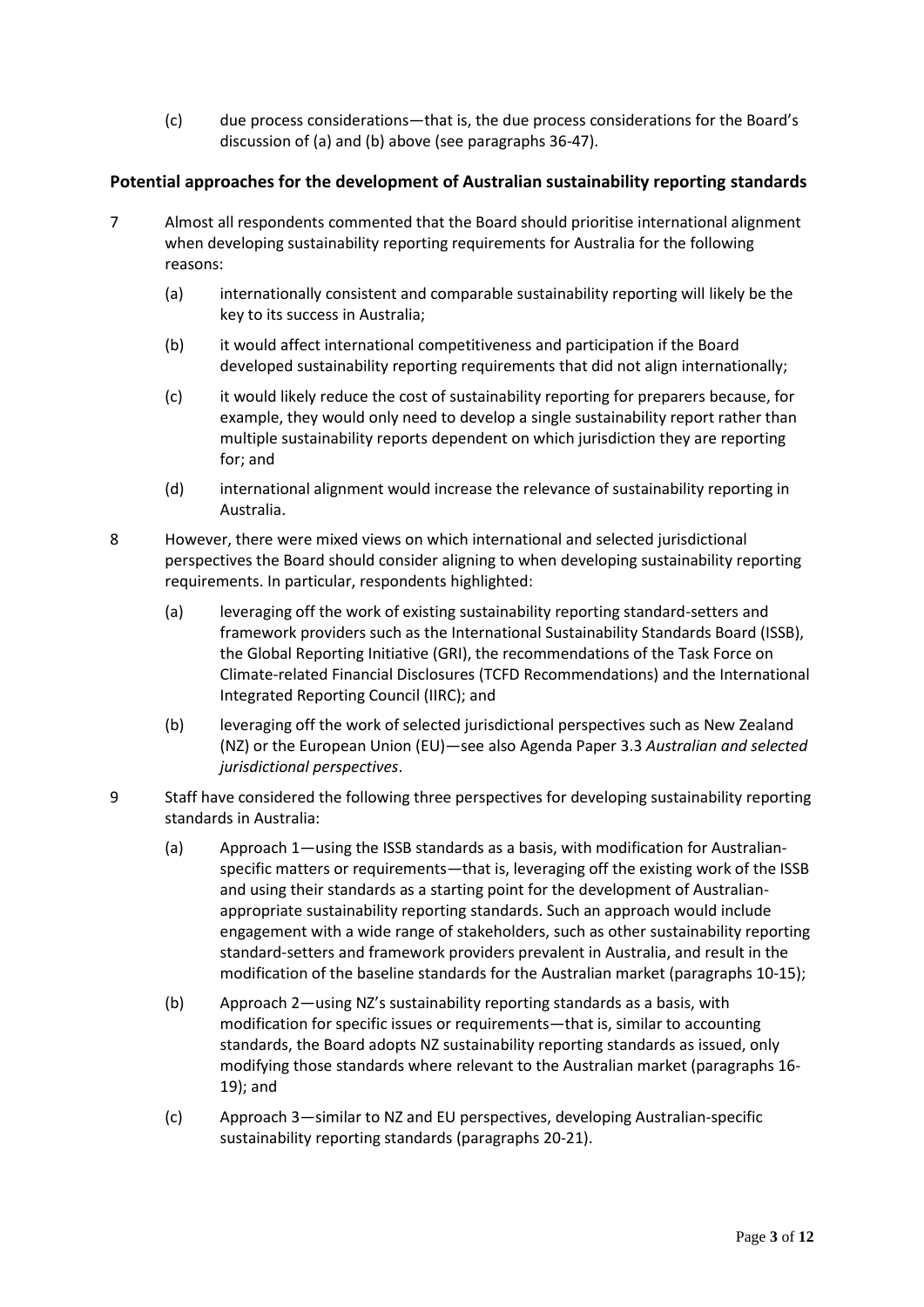(c) due process considerations—that is, the due process considerations for the Board's discussion of (a) and (b) above (see paragraphs 36-47).

# **Potential approaches for the development of Australian sustainability reporting standards**

- 7 Almost all respondents commented that the Board should prioritise international alignment when developing sustainability reporting requirements for Australia for the following reasons:
	- (a) internationally consistent and comparable sustainability reporting will likely be the key to its success in Australia;
	- (b) it would affect international competitiveness and participation if the Board developed sustainability reporting requirements that did not align internationally;
	- (c) it would likely reduce the cost of sustainability reporting for preparers because, for example, they would only need to develop a single sustainability report rather than multiple sustainability reports dependent on which jurisdiction they are reporting for; and
	- (d) international alignment would increase the relevance of sustainability reporting in Australia.
- 8 However, there were mixed views on which international and selected jurisdictional perspectives the Board should consider aligning to when developing sustainability reporting requirements. In particular, respondents highlighted:
	- (a) leveraging off the work of existing sustainability reporting standard-setters and framework providers such as the International Sustainability Standards Board (ISSB), the Global Reporting Initiative (GRI), the recommendations of the Task Force on Climate-related Financial Disclosures (TCFD Recommendations) and the International Integrated Reporting Council (IIRC); and
	- (b) leveraging off the work of selected jurisdictional perspectives such as New Zealand (NZ) or the European Union (EU)—see also Agenda Paper 3.3 *Australian and selected jurisdictional perspectives*.
- 9 Staff have considered the following three perspectives for developing sustainability reporting standards in Australia:
	- (a) Approach 1—using the ISSB standards as a basis, with modification for Australianspecific matters or requirements—that is, leveraging off the existing work of the ISSB and using their standards as a starting point for the development of Australianappropriate sustainability reporting standards. Such an approach would include engagement with a wide range of stakeholders, such as other sustainability reporting standard-setters and framework providers prevalent in Australia, and result in the modification of the baseline standards for the Australian market (paragraphs 10-15);
	- (b) Approach 2—using NZ's sustainability reporting standards as a basis, with modification for specific issues or requirements—that is, similar to accounting standards, the Board adopts NZ sustainability reporting standards as issued, only modifying those standards where relevant to the Australian market (paragraphs 16- 19); and
	- (c) Approach 3—similar to NZ and EU perspectives, developing Australian-specific sustainability reporting standards (paragraphs 20-21).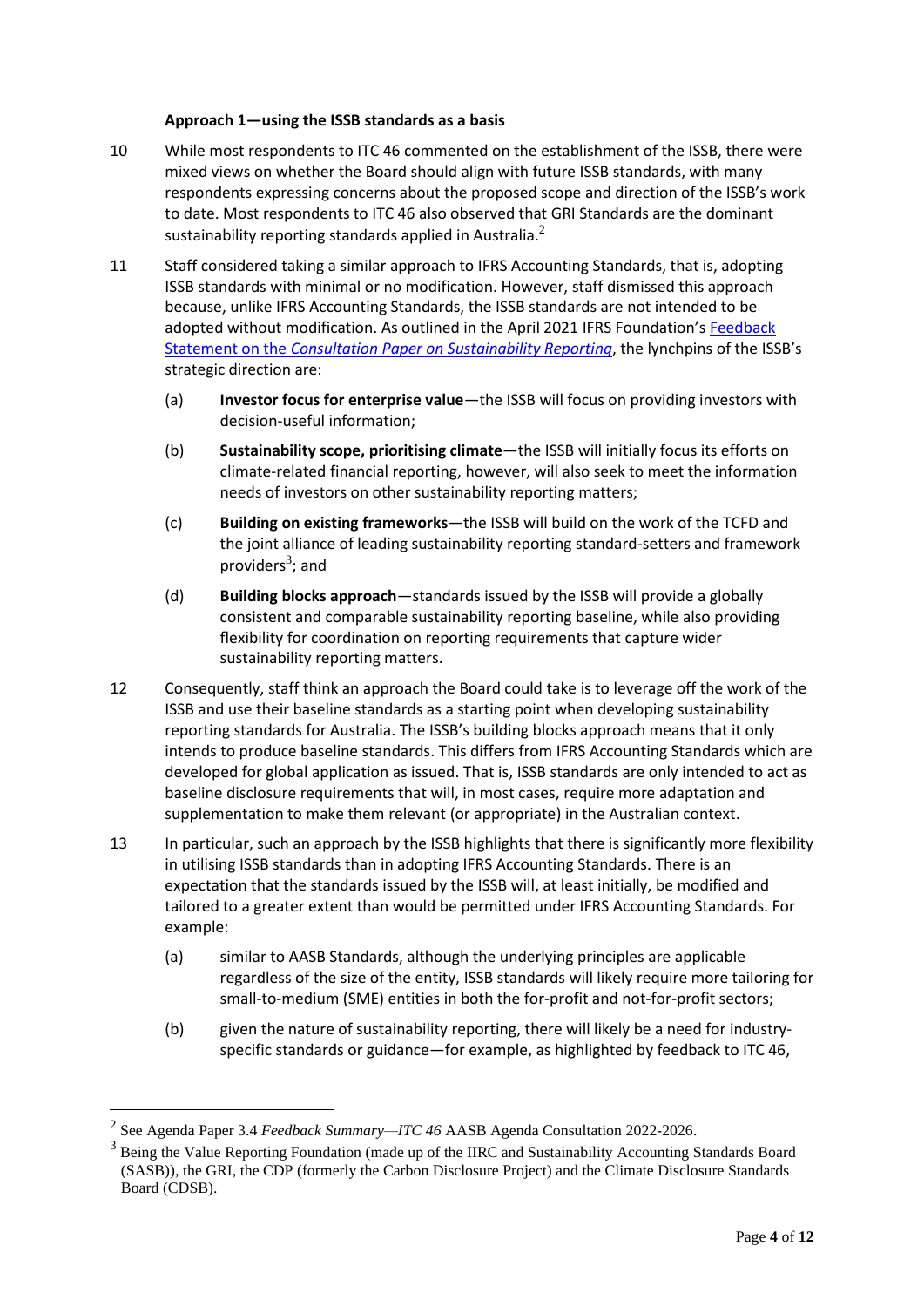## **Approach 1—using the ISSB standards as a basis**

- 10 While most respondents to ITC 46 commented on the establishment of the ISSB, there were mixed views on whether the Board should align with future ISSB standards, with many respondents expressing concerns about the proposed scope and direction of the ISSB's work to date. Most respondents to ITC 46 also observed that GRI Standards are the dominant sustainability reporting standards applied in Australia. $^2$
- 11 Staff considered taking a similar approach to IFRS Accounting Standards, that is, adopting ISSB standards with minimal or no modification. However, staff dismissed this approach because, unlike IFRS Accounting Standards, the ISSB standards are not intended to be adopted without modification. As outlined in the April 2021 IFRS Foundation's Feedback Statement on the *[Consultation Paper on Sustainability Reporting](https://www.ifrs.org/content/dam/ifrs/project/sustainability-reporting/sustainability-consultation-paper-feedback-statement.pdf)*, the lynchpins of the ISSB's strategic direction are:
	- (a) **Investor focus for enterprise value**—the ISSB will focus on providing investors with decision-useful information;
	- (b) **Sustainability scope, prioritising climate**—the ISSB will initially focus its efforts on climate-related financial reporting, however, will also seek to meet the information needs of investors on other sustainability reporting matters;
	- (c) **Building on existing frameworks**—the ISSB will build on the work of the TCFD and the joint alliance of leading sustainability reporting standard-setters and framework providers<sup>3</sup>; and
	- (d) **Building blocks approach**—standards issued by the ISSB will provide a globally consistent and comparable sustainability reporting baseline, while also providing flexibility for coordination on reporting requirements that capture wider sustainability reporting matters.
- 12 Consequently, staff think an approach the Board could take is to leverage off the work of the ISSB and use their baseline standards as a starting point when developing sustainability reporting standards for Australia. The ISSB's building blocks approach means that it only intends to produce baseline standards. This differs from IFRS Accounting Standards which are developed for global application as issued. That is, ISSB standards are only intended to act as baseline disclosure requirements that will, in most cases, require more adaptation and supplementation to make them relevant (or appropriate) in the Australian context.
- 13 In particular, such an approach by the ISSB highlights that there is significantly more flexibility in utilising ISSB standards than in adopting IFRS Accounting Standards. There is an expectation that the standards issued by the ISSB will, at least initially, be modified and tailored to a greater extent than would be permitted under IFRS Accounting Standards. For example:
	- (a) similar to AASB Standards, although the underlying principles are applicable regardless of the size of the entity, ISSB standards will likely require more tailoring for small-to-medium (SME) entities in both the for-profit and not-for-profit sectors;
	- (b) given the nature of sustainability reporting, there will likely be a need for industryspecific standards or guidance—for example, as highlighted by feedback to ITC 46,

<sup>2</sup> See Agenda Paper 3.4 *Feedback Summary—ITC 46* AASB Agenda Consultation 2022-2026.

<sup>&</sup>lt;sup>3</sup> Being the Value Reporting Foundation (made up of the IIRC and Sustainability Accounting Standards Board (SASB)), the GRI, the CDP (formerly the Carbon Disclosure Project) and the Climate Disclosure Standards Board (CDSB).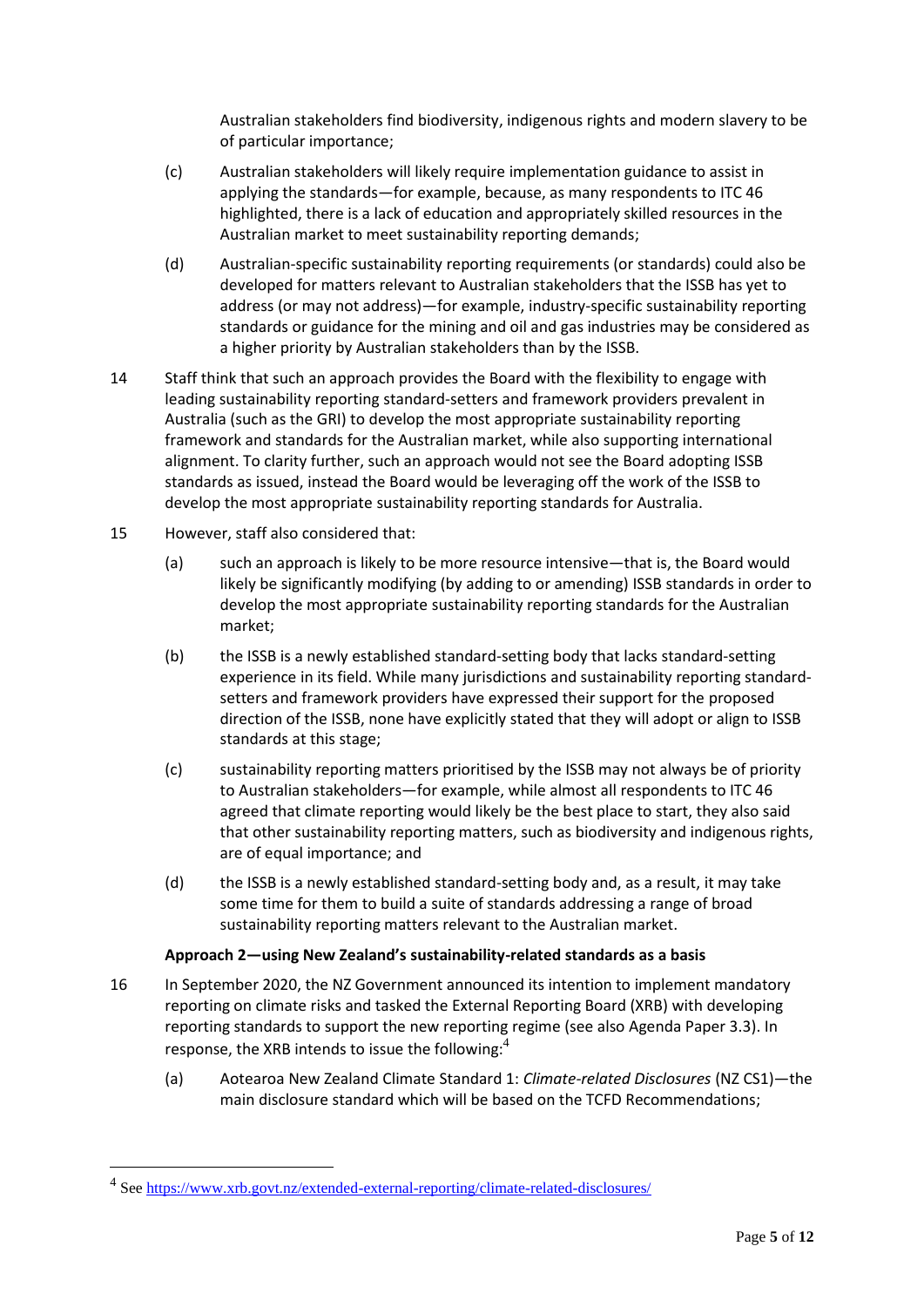Australian stakeholders find biodiversity, indigenous rights and modern slavery to be of particular importance;

- (c) Australian stakeholders will likely require implementation guidance to assist in applying the standards—for example, because, as many respondents to ITC 46 highlighted, there is a lack of education and appropriately skilled resources in the Australian market to meet sustainability reporting demands;
- (d) Australian-specific sustainability reporting requirements (or standards) could also be developed for matters relevant to Australian stakeholders that the ISSB has yet to address (or may not address)—for example, industry-specific sustainability reporting standards or guidance for the mining and oil and gas industries may be considered as a higher priority by Australian stakeholders than by the ISSB.
- 14 Staff think that such an approach provides the Board with the flexibility to engage with leading sustainability reporting standard-setters and framework providers prevalent in Australia (such as the GRI) to develop the most appropriate sustainability reporting framework and standards for the Australian market, while also supporting international alignment. To clarity further, such an approach would not see the Board adopting ISSB standards as issued, instead the Board would be leveraging off the work of the ISSB to develop the most appropriate sustainability reporting standards for Australia.
- 15 However, staff also considered that:
	- (a) such an approach is likely to be more resource intensive—that is, the Board would likely be significantly modifying (by adding to or amending) ISSB standards in order to develop the most appropriate sustainability reporting standards for the Australian market;
	- (b) the ISSB is a newly established standard-setting body that lacks standard-setting experience in its field. While many jurisdictions and sustainability reporting standardsetters and framework providers have expressed their support for the proposed direction of the ISSB, none have explicitly stated that they will adopt or align to ISSB standards at this stage;
	- (c) sustainability reporting matters prioritised by the ISSB may not always be of priority to Australian stakeholders—for example, while almost all respondents to ITC 46 agreed that climate reporting would likely be the best place to start, they also said that other sustainability reporting matters, such as biodiversity and indigenous rights, are of equal importance; and
	- (d) the ISSB is a newly established standard-setting body and, as a result, it may take some time for them to build a suite of standards addressing a range of broad sustainability reporting matters relevant to the Australian market.

## **Approach 2—using New Zealand's sustainability-related standards as a basis**

- 16 In September 2020, the NZ Government announced its intention to implement mandatory reporting on climate risks and tasked the External Reporting Board (XRB) with developing reporting standards to support the new reporting regime (see also Agenda Paper 3.3). In response, the XRB intends to issue the following: $4$ 
	- (a) Aotearoa New Zealand Climate Standard 1: *Climate-related Disclosures* (NZ CS1)—the main disclosure standard which will be based on the TCFD Recommendations;

<sup>&</sup>lt;sup>4</sup> See<https://www.xrb.govt.nz/extended-external-reporting/climate-related-disclosures/>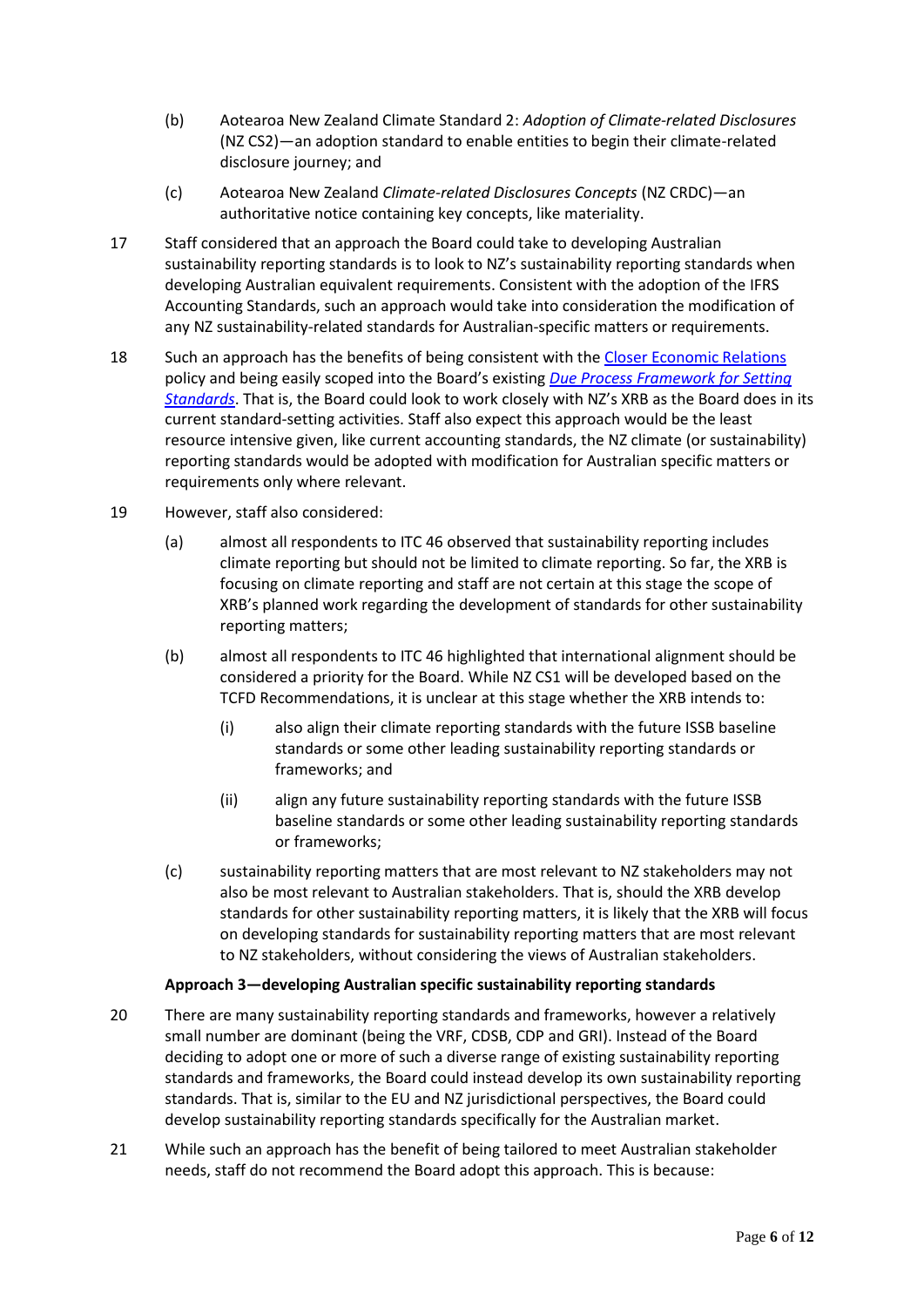- (b) Aotearoa New Zealand Climate Standard 2: *Adoption of Climate-related Disclosures* (NZ CS2)—an adoption standard to enable entities to begin their climate-related disclosure journey; and
- (c) Aotearoa New Zealand *Climate-related Disclosures Concepts* (NZ CRDC)—an authoritative notice containing key concepts, like materiality.
- 17 Staff considered that an approach the Board could take to developing Australian sustainability reporting standards is to look to NZ's sustainability reporting standards when developing Australian equivalent requirements. Consistent with the adoption of the IFRS Accounting Standards, such an approach would take into consideration the modification of any NZ sustainability-related standards for Australian-specific matters or requirements.
- 18 Such an approach has the benefits of being consistent with th[e Closer Economic Relations](https://www.dfat.gov.au/sites/default/files/cer.pdf) policy and being easily scoped into the Board's existing *[Due Process Framework](https://www.aasb.gov.au/admin/file/content102/c3/AASB_Due_Process_Framework_09-19.pdf) for Setting [Standards](https://www.aasb.gov.au/admin/file/content102/c3/AASB_Due_Process_Framework_09-19.pdf)*. That is, the Board could look to work closely with NZ's XRB as the Board does in its current standard-setting activities. Staff also expect this approach would be the least resource intensive given, like current accounting standards, the NZ climate (or sustainability) reporting standards would be adopted with modification for Australian specific matters or requirements only where relevant.
- 19 However, staff also considered:
	- (a) almost all respondents to ITC 46 observed that sustainability reporting includes climate reporting but should not be limited to climate reporting. So far, the XRB is focusing on climate reporting and staff are not certain at this stage the scope of XRB's planned work regarding the development of standards for other sustainability reporting matters;
	- (b) almost all respondents to ITC 46 highlighted that international alignment should be considered a priority for the Board. While NZ CS1 will be developed based on the TCFD Recommendations, it is unclear at this stage whether the XRB intends to:
		- (i) also align their climate reporting standards with the future ISSB baseline standards or some other leading sustainability reporting standards or frameworks; and
		- (ii) align any future sustainability reporting standards with the future ISSB baseline standards or some other leading sustainability reporting standards or frameworks;
	- (c) sustainability reporting matters that are most relevant to NZ stakeholders may not also be most relevant to Australian stakeholders. That is, should the XRB develop standards for other sustainability reporting matters, it is likely that the XRB will focus on developing standards for sustainability reporting matters that are most relevant to NZ stakeholders, without considering the views of Australian stakeholders.

## **Approach 3—developing Australian specific sustainability reporting standards**

- 20 There are many sustainability reporting standards and frameworks, however a relatively small number are dominant (being the VRF, CDSB, CDP and GRI). Instead of the Board deciding to adopt one or more of such a diverse range of existing sustainability reporting standards and frameworks, the Board could instead develop its own sustainability reporting standards. That is, similar to the EU and NZ jurisdictional perspectives, the Board could develop sustainability reporting standards specifically for the Australian market.
- 21 While such an approach has the benefit of being tailored to meet Australian stakeholder needs, staff do not recommend the Board adopt this approach. This is because: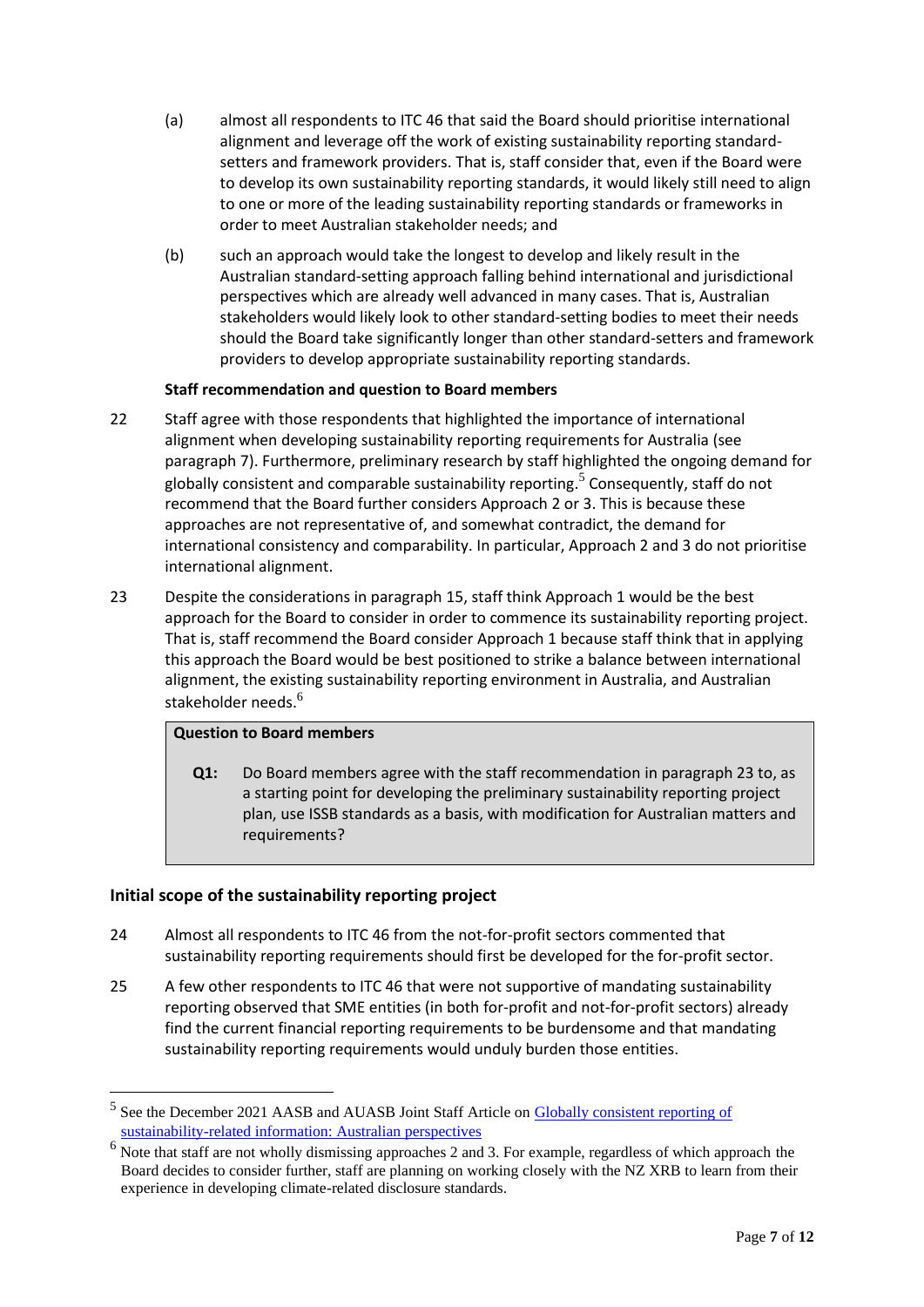- (a) almost all respondents to ITC 46 that said the Board should prioritise international alignment and leverage off the work of existing sustainability reporting standardsetters and framework providers. That is, staff consider that, even if the Board were to develop its own sustainability reporting standards, it would likely still need to align to one or more of the leading sustainability reporting standards or frameworks in order to meet Australian stakeholder needs; and
- (b) such an approach would take the longest to develop and likely result in the Australian standard-setting approach falling behind international and jurisdictional perspectives which are already well advanced in many cases. That is, Australian stakeholders would likely look to other standard-setting bodies to meet their needs should the Board take significantly longer than other standard-setters and framework providers to develop appropriate sustainability reporting standards.

## **Staff recommendation and question to Board members**

- 22 Staff agree with those respondents that highlighted the importance of international alignment when developing sustainability reporting requirements for Australia (see paragraph 7). Furthermore, preliminary research by staff highlighted the ongoing demand for globally consistent and comparable sustainability reporting.<sup>5</sup> Consequently, staff do not recommend that the Board further considers Approach 2 or 3. This is because these approaches are not representative of, and somewhat contradict, the demand for international consistency and comparability. In particular, Approach 2 and 3 do not prioritise international alignment.
- 23 Despite the considerations in paragraph 15, staff think Approach 1 would be the best approach for the Board to consider in order to commence its sustainability reporting project. That is, staff recommend the Board consider Approach 1 because staff think that in applying this approach the Board would be best positioned to strike a balance between international alignment, the existing sustainability reporting environment in Australia, and Australian stakeholder needs.<sup>6</sup>

## **Question to Board members**

**Q1:** Do Board members agree with the staff recommendation in paragraph 23 to, as a starting point for developing the preliminary sustainability reporting project plan, use ISSB standards as a basis, with modification for Australian matters and requirements?

# **Initial scope of the sustainability reporting project**

- 24 Almost all respondents to ITC 46 from the not-for-profit sectors commented that sustainability reporting requirements should first be developed for the for-profit sector.
- 25 A few other respondents to ITC 46 that were not supportive of mandating sustainability reporting observed that SME entities (in both for-profit and not-for-profit sectors) already find the current financial reporting requirements to be burdensome and that mandating sustainability reporting requirements would unduly burden those entities.

<sup>5</sup> See the December 2021 AASB and AUASB Joint Staff Article on [Globally consistent reporting of](https://www.aasb.gov.au/media/o1wfhori/aasb-auasb_sustainabilityreporting_12-21.pdf)  [sustainability-related information: Australian perspectives](https://www.aasb.gov.au/media/o1wfhori/aasb-auasb_sustainabilityreporting_12-21.pdf)

<sup>&</sup>lt;sup>6</sup> Note that staff are not wholly dismissing approaches 2 and 3. For example, regardless of which approach the Board decides to consider further, staff are planning on working closely with the NZ XRB to learn from their experience in developing climate-related disclosure standards.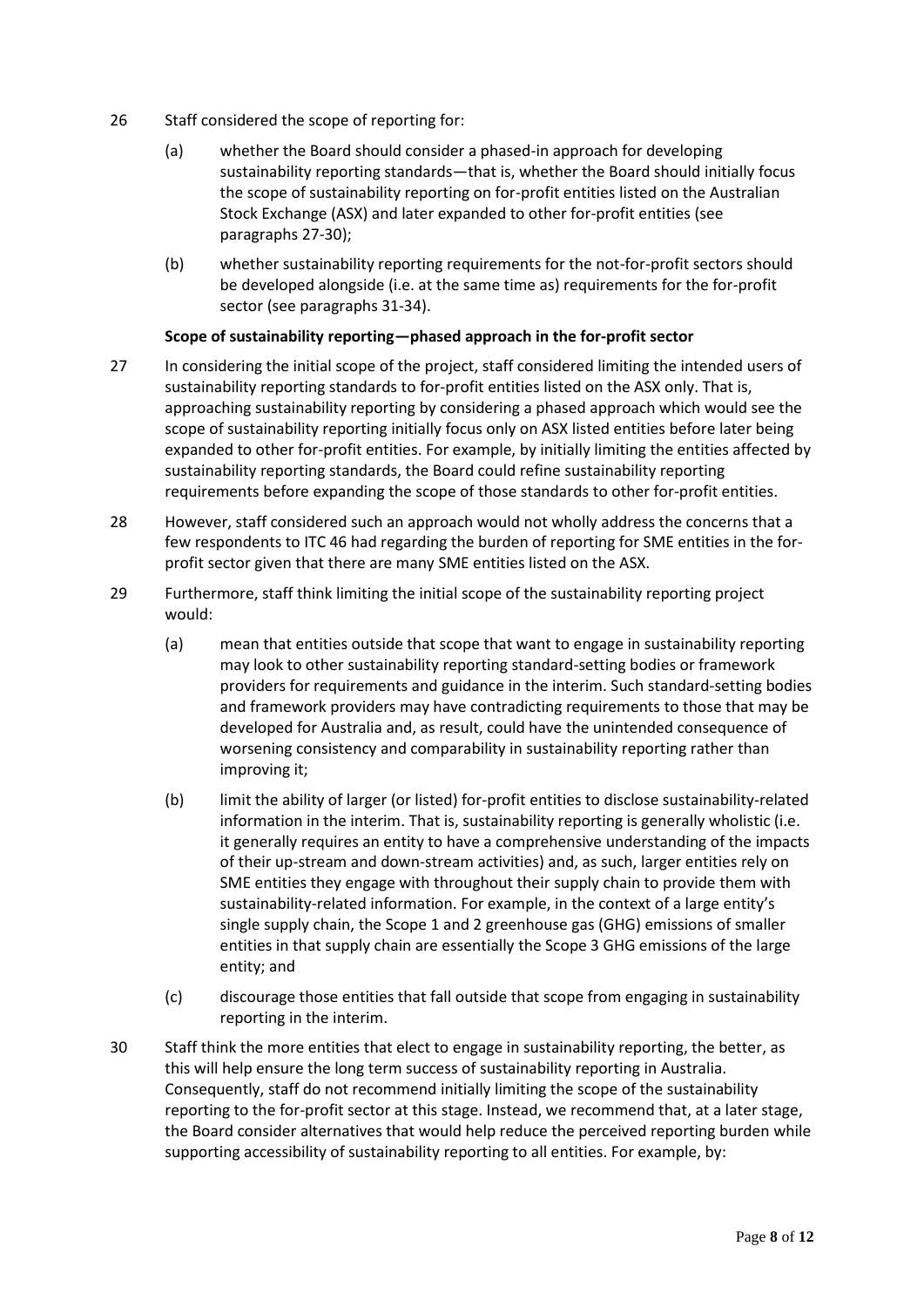- 26 Staff considered the scope of reporting for:
	- (a) whether the Board should consider a phased-in approach for developing sustainability reporting standards—that is, whether the Board should initially focus the scope of sustainability reporting on for-profit entities listed on the Australian Stock Exchange (ASX) and later expanded to other for-profit entities (see paragraphs 27-30);
	- (b) whether sustainability reporting requirements for the not-for-profit sectors should be developed alongside (i.e. at the same time as) requirements for the for-profit sector (see paragraphs 31-34).

## **Scope of sustainability reporting—phased approach in the for-profit sector**

- 27 In considering the initial scope of the project, staff considered limiting the intended users of sustainability reporting standards to for-profit entities listed on the ASX only. That is, approaching sustainability reporting by considering a phased approach which would see the scope of sustainability reporting initially focus only on ASX listed entities before later being expanded to other for-profit entities. For example, by initially limiting the entities affected by sustainability reporting standards, the Board could refine sustainability reporting requirements before expanding the scope of those standards to other for-profit entities.
- 28 However, staff considered such an approach would not wholly address the concerns that a few respondents to ITC 46 had regarding the burden of reporting for SME entities in the forprofit sector given that there are many SME entities listed on the ASX.
- 29 Furthermore, staff think limiting the initial scope of the sustainability reporting project would:
	- (a) mean that entities outside that scope that want to engage in sustainability reporting may look to other sustainability reporting standard-setting bodies or framework providers for requirements and guidance in the interim. Such standard-setting bodies and framework providers may have contradicting requirements to those that may be developed for Australia and, as result, could have the unintended consequence of worsening consistency and comparability in sustainability reporting rather than improving it;
	- (b) limit the ability of larger (or listed) for-profit entities to disclose sustainability-related information in the interim. That is, sustainability reporting is generally wholistic (i.e. it generally requires an entity to have a comprehensive understanding of the impacts of their up-stream and down-stream activities) and, as such, larger entities rely on SME entities they engage with throughout their supply chain to provide them with sustainability-related information. For example, in the context of a large entity's single supply chain, the Scope 1 and 2 greenhouse gas (GHG) emissions of smaller entities in that supply chain are essentially the Scope 3 GHG emissions of the large entity; and
	- (c) discourage those entities that fall outside that scope from engaging in sustainability reporting in the interim.
- 30 Staff think the more entities that elect to engage in sustainability reporting, the better, as this will help ensure the long term success of sustainability reporting in Australia. Consequently, staff do not recommend initially limiting the scope of the sustainability reporting to the for-profit sector at this stage. Instead, we recommend that, at a later stage, the Board consider alternatives that would help reduce the perceived reporting burden while supporting accessibility of sustainability reporting to all entities. For example, by: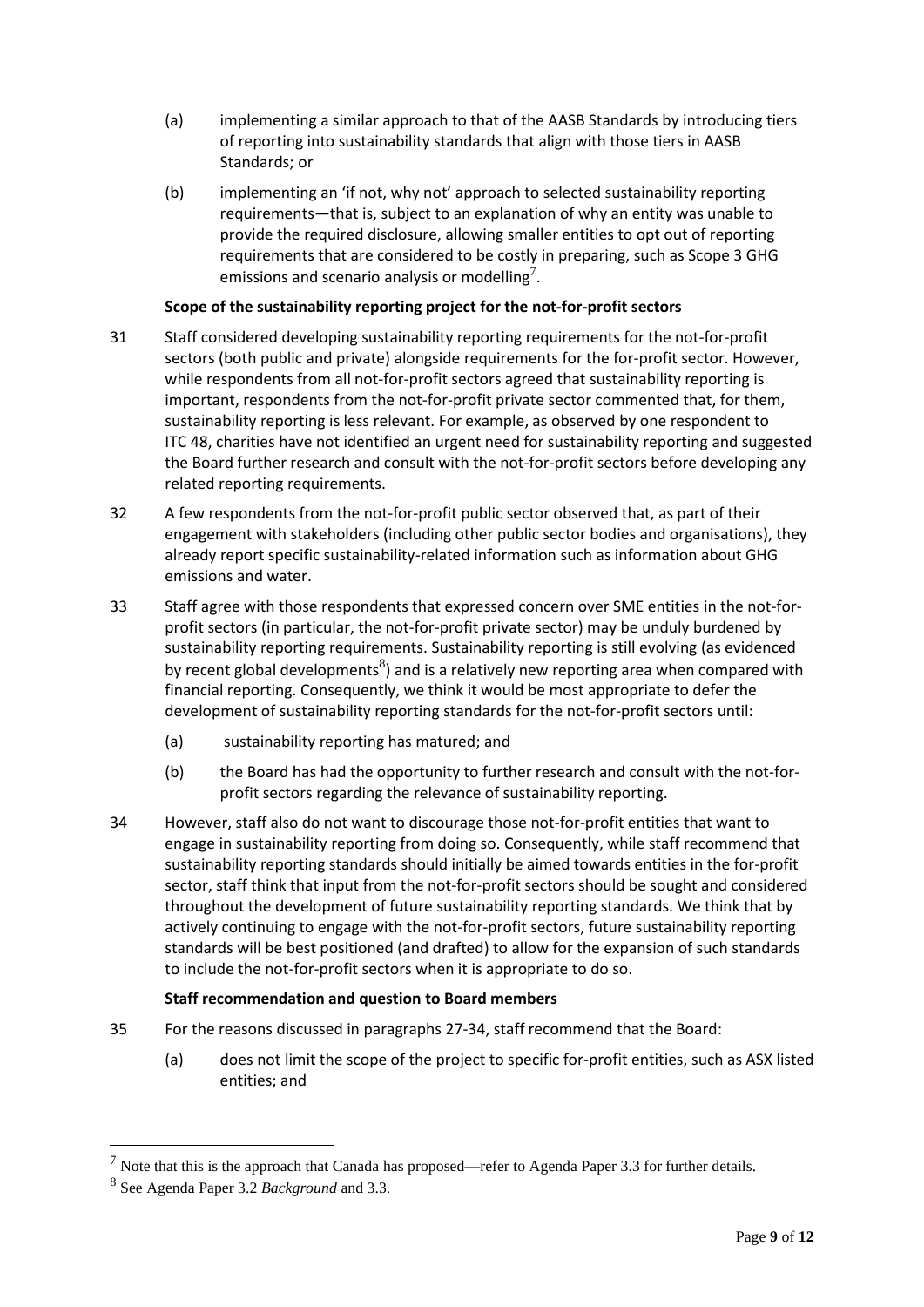- (a) implementing a similar approach to that of the AASB Standards by introducing tiers of reporting into sustainability standards that align with those tiers in AASB Standards; or
- (b) implementing an 'if not, why not' approach to selected sustainability reporting requirements—that is, subject to an explanation of why an entity was unable to provide the required disclosure, allowing smaller entities to opt out of reporting requirements that are considered to be costly in preparing, such as Scope 3 GHG emissions and scenario analysis or modelling<sup>7</sup>.

# **Scope of the sustainability reporting project for the not-for-profit sectors**

- 31 Staff considered developing sustainability reporting requirements for the not-for-profit sectors (both public and private) alongside requirements for the for-profit sector. However, while respondents from all not-for-profit sectors agreed that sustainability reporting is important, respondents from the not-for-profit private sector commented that, for them, sustainability reporting is less relevant. For example, as observed by one respondent to ITC 48, charities have not identified an urgent need for sustainability reporting and suggested the Board further research and consult with the not-for-profit sectors before developing any related reporting requirements.
- 32 A few respondents from the not-for-profit public sector observed that, as part of their engagement with stakeholders (including other public sector bodies and organisations), they already report specific sustainability-related information such as information about GHG emissions and water.
- 33 Staff agree with those respondents that expressed concern over SME entities in the not-forprofit sectors (in particular, the not-for-profit private sector) may be unduly burdened by sustainability reporting requirements. Sustainability reporting is still evolving (as evidenced by recent global developments ${}^{8}$ ) and is a relatively new reporting area when compared with financial reporting. Consequently, we think it would be most appropriate to defer the development of sustainability reporting standards for the not-for-profit sectors until:
	- (a) sustainability reporting has matured; and
	- (b) the Board has had the opportunity to further research and consult with the not-forprofit sectors regarding the relevance of sustainability reporting.
- 34 However, staff also do not want to discourage those not-for-profit entities that want to engage in sustainability reporting from doing so. Consequently, while staff recommend that sustainability reporting standards should initially be aimed towards entities in the for-profit sector, staff think that input from the not-for-profit sectors should be sought and considered throughout the development of future sustainability reporting standards. We think that by actively continuing to engage with the not-for-profit sectors, future sustainability reporting standards will be best positioned (and drafted) to allow for the expansion of such standards to include the not-for-profit sectors when it is appropriate to do so.

## **Staff recommendation and question to Board members**

- 35 For the reasons discussed in paragraphs 27-34, staff recommend that the Board:
	- (a) does not limit the scope of the project to specific for-profit entities, such as ASX listed entities; and

 $<sup>7</sup>$  Note that this is the approach that Canada has proposed—refer to Agenda Paper 3.3 for further details.</sup>

<sup>8</sup> See Agenda Paper 3.2 *Background* and 3.3.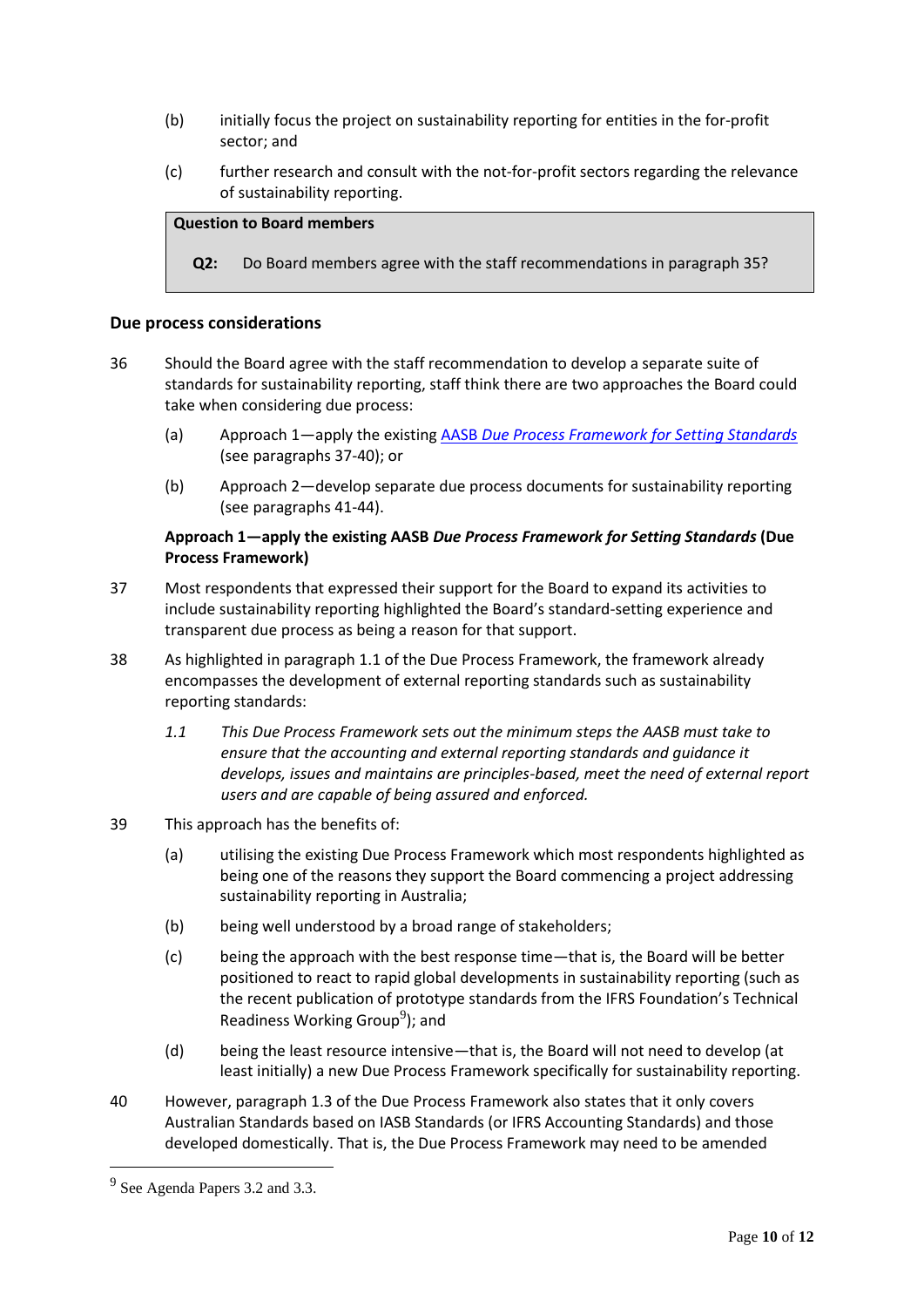- (b) initially focus the project on sustainability reporting for entities in the for-profit sector; and
- (c) further research and consult with the not-for-profit sectors regarding the relevance of sustainability reporting.

## **Question to Board members**

**Q2:** Do Board members agree with the staff recommendations in paragraph 35?

#### **Due process considerations**

- 36 Should the Board agree with the staff recommendation to develop a separate suite of standards for sustainability reporting, staff think there are two approaches the Board could take when considering due process:
	- (a) Approach 1—apply the existing AASB *[Due Process Framework for Setting Standards](https://www.aasb.gov.au/admin/file/content102/c3/AASB_Due_Process_Framework_09-19.pdf)* (see paragraphs 37-40); or
	- (b) Approach 2—develop separate due process documents for sustainability reporting (see paragraphs 41-44).

## **Approach 1—apply the existing AASB** *Due Process Framework for Setting Standards* **(Due Process Framework)**

- 37 Most respondents that expressed their support for the Board to expand its activities to include sustainability reporting highlighted the Board's standard-setting experience and transparent due process as being a reason for that support.
- 38 As highlighted in paragraph 1.1 of the Due Process Framework, the framework already encompasses the development of external reporting standards such as sustainability reporting standards:
	- *1.1 This Due Process Framework sets out the minimum steps the AASB must take to ensure that the accounting and external reporting standards and guidance it develops, issues and maintains are principles-based, meet the need of external report users and are capable of being assured and enforced.*
- 39 This approach has the benefits of:
	- (a) utilising the existing Due Process Framework which most respondents highlighted as being one of the reasons they support the Board commencing a project addressing sustainability reporting in Australia;
	- (b) being well understood by a broad range of stakeholders;
	- (c) being the approach with the best response time—that is, the Board will be better positioned to react to rapid global developments in sustainability reporting (such as the recent publication of prototype standards from the IFRS Foundation's Technical Readiness Working Group<sup>9</sup>); and
	- (d) being the least resource intensive—that is, the Board will not need to develop (at least initially) a new Due Process Framework specifically for sustainability reporting.
- 40 However, paragraph 1.3 of the Due Process Framework also states that it only covers Australian Standards based on IASB Standards (or IFRS Accounting Standards) and those developed domestically. That is, the Due Process Framework may need to be amended

 $9^9$  See Agenda Papers 3.2 and 3.3.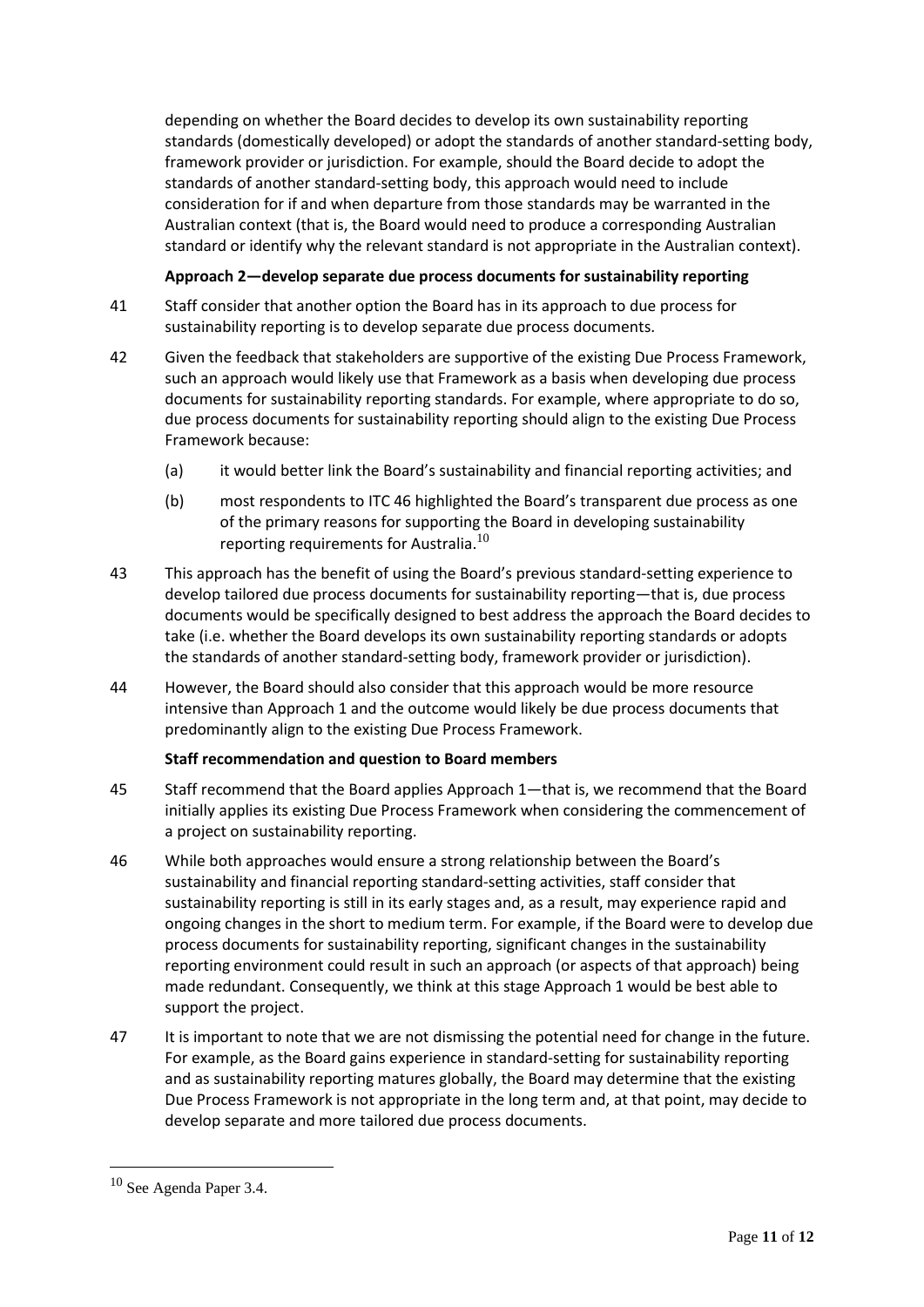depending on whether the Board decides to develop its own sustainability reporting standards (domestically developed) or adopt the standards of another standard-setting body, framework provider or jurisdiction. For example, should the Board decide to adopt the standards of another standard-setting body, this approach would need to include consideration for if and when departure from those standards may be warranted in the Australian context (that is, the Board would need to produce a corresponding Australian standard or identify why the relevant standard is not appropriate in the Australian context).

## **Approach 2—develop separate due process documents for sustainability reporting**

- 41 Staff consider that another option the Board has in its approach to due process for sustainability reporting is to develop separate due process documents.
- 42 Given the feedback that stakeholders are supportive of the existing Due Process Framework, such an approach would likely use that Framework as a basis when developing due process documents for sustainability reporting standards. For example, where appropriate to do so, due process documents for sustainability reporting should align to the existing Due Process Framework because:
	- (a) it would better link the Board's sustainability and financial reporting activities; and
	- (b) most respondents to ITC 46 highlighted the Board's transparent due process as one of the primary reasons for supporting the Board in developing sustainability reporting requirements for Australia. $^{10}$
- 43 This approach has the benefit of using the Board's previous standard-setting experience to develop tailored due process documents for sustainability reporting—that is, due process documents would be specifically designed to best address the approach the Board decides to take (i.e. whether the Board develops its own sustainability reporting standards or adopts the standards of another standard-setting body, framework provider or jurisdiction).
- 44 However, the Board should also consider that this approach would be more resource intensive than Approach 1 and the outcome would likely be due process documents that predominantly align to the existing Due Process Framework.

## **Staff recommendation and question to Board members**

- 45 Staff recommend that the Board applies Approach 1—that is, we recommend that the Board initially applies its existing Due Process Framework when considering the commencement of a project on sustainability reporting.
- 46 While both approaches would ensure a strong relationship between the Board's sustainability and financial reporting standard-setting activities, staff consider that sustainability reporting is still in its early stages and, as a result, may experience rapid and ongoing changes in the short to medium term. For example, if the Board were to develop due process documents for sustainability reporting, significant changes in the sustainability reporting environment could result in such an approach (or aspects of that approach) being made redundant. Consequently, we think at this stage Approach 1 would be best able to support the project.
- 47 It is important to note that we are not dismissing the potential need for change in the future. For example, as the Board gains experience in standard-setting for sustainability reporting and as sustainability reporting matures globally, the Board may determine that the existing Due Process Framework is not appropriate in the long term and, at that point, may decide to develop separate and more tailored due process documents.

<sup>10</sup> See Agenda Paper 3.4.